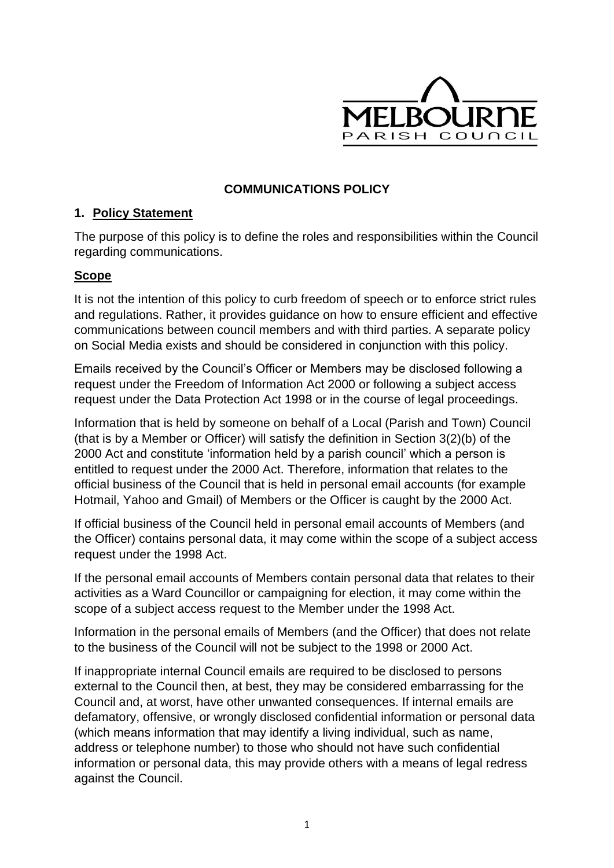

### **COMMUNICATIONS POLICY**

#### **1. Policy Statement**

The purpose of this policy is to define the roles and responsibilities within the Council regarding communications.

#### **Scope**

It is not the intention of this policy to curb freedom of speech or to enforce strict rules and regulations. Rather, it provides guidance on how to ensure efficient and effective communications between council members and with third parties. A separate policy on Social Media exists and should be considered in conjunction with this policy.

Emails received by the Council's Officer or Members may be disclosed following a request under the Freedom of Information Act 2000 or following a subject access request under the Data Protection Act 1998 or in the course of legal proceedings.

Information that is held by someone on behalf of a Local (Parish and Town) Council (that is by a Member or Officer) will satisfy the definition in Section 3(2)(b) of the 2000 Act and constitute 'information held by a parish council' which a person is entitled to request under the 2000 Act. Therefore, information that relates to the official business of the Council that is held in personal email accounts (for example Hotmail, Yahoo and Gmail) of Members or the Officer is caught by the 2000 Act.

If official business of the Council held in personal email accounts of Members (and the Officer) contains personal data, it may come within the scope of a subject access request under the 1998 Act.

If the personal email accounts of Members contain personal data that relates to their activities as a Ward Councillor or campaigning for election, it may come within the scope of a subject access request to the Member under the 1998 Act.

Information in the personal emails of Members (and the Officer) that does not relate to the business of the Council will not be subject to the 1998 or 2000 Act.

If inappropriate internal Council emails are required to be disclosed to persons external to the Council then, at best, they may be considered embarrassing for the Council and, at worst, have other unwanted consequences. If internal emails are defamatory, offensive, or wrongly disclosed confidential information or personal data (which means information that may identify a living individual, such as name, address or telephone number) to those who should not have such confidential information or personal data, this may provide others with a means of legal redress against the Council.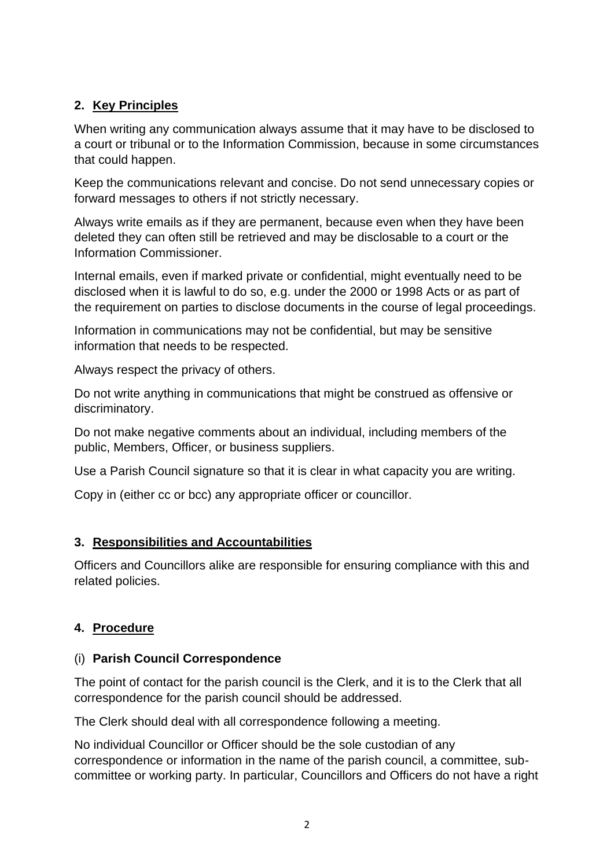# **2. Key Principles**

When writing any communication always assume that it may have to be disclosed to a court or tribunal or to the Information Commission, because in some circumstances that could happen.

Keep the communications relevant and concise. Do not send unnecessary copies or forward messages to others if not strictly necessary.

Always write emails as if they are permanent, because even when they have been deleted they can often still be retrieved and may be disclosable to a court or the Information Commissioner.

Internal emails, even if marked private or confidential, might eventually need to be disclosed when it is lawful to do so, e.g. under the 2000 or 1998 Acts or as part of the requirement on parties to disclose documents in the course of legal proceedings.

Information in communications may not be confidential, but may be sensitive information that needs to be respected.

Always respect the privacy of others.

Do not write anything in communications that might be construed as offensive or discriminatory.

Do not make negative comments about an individual, including members of the public, Members, Officer, or business suppliers.

Use a Parish Council signature so that it is clear in what capacity you are writing.

Copy in (either cc or bcc) any appropriate officer or councillor.

# **3. Responsibilities and Accountabilities**

Officers and Councillors alike are responsible for ensuring compliance with this and related policies.

# **4. Procedure**

# (i) **Parish Council Correspondence**

The point of contact for the parish council is the Clerk, and it is to the Clerk that all correspondence for the parish council should be addressed.

The Clerk should deal with all correspondence following a meeting.

No individual Councillor or Officer should be the sole custodian of any correspondence or information in the name of the parish council, a committee, subcommittee or working party. In particular, Councillors and Officers do not have a right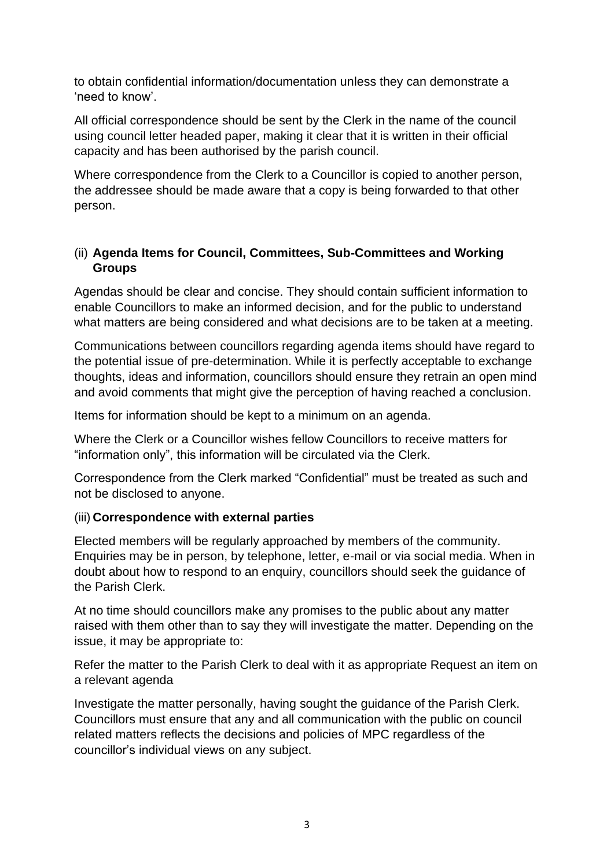to obtain confidential information/documentation unless they can demonstrate a 'need to know'.

All official correspondence should be sent by the Clerk in the name of the council using council letter headed paper, making it clear that it is written in their official capacity and has been authorised by the parish council.

Where correspondence from the Clerk to a Councillor is copied to another person, the addressee should be made aware that a copy is being forwarded to that other person.

### (ii) **Agenda Items for Council, Committees, Sub-Committees and Working Groups**

Agendas should be clear and concise. They should contain sufficient information to enable Councillors to make an informed decision, and for the public to understand what matters are being considered and what decisions are to be taken at a meeting.

Communications between councillors regarding agenda items should have regard to the potential issue of pre-determination. While it is perfectly acceptable to exchange thoughts, ideas and information, councillors should ensure they retrain an open mind and avoid comments that might give the perception of having reached a conclusion.

Items for information should be kept to a minimum on an agenda.

Where the Clerk or a Councillor wishes fellow Councillors to receive matters for "information only", this information will be circulated via the Clerk.

Correspondence from the Clerk marked "Confidential" must be treated as such and not be disclosed to anyone.

#### (iii) **Correspondence with external parties**

Elected members will be regularly approached by members of the community. Enquiries may be in person, by telephone, letter, e-mail or via social media. When in doubt about how to respond to an enquiry, councillors should seek the guidance of the Parish Clerk.

At no time should councillors make any promises to the public about any matter raised with them other than to say they will investigate the matter. Depending on the issue, it may be appropriate to:

Refer the matter to the Parish Clerk to deal with it as appropriate Request an item on a relevant agenda

Investigate the matter personally, having sought the guidance of the Parish Clerk. Councillors must ensure that any and all communication with the public on council related matters reflects the decisions and policies of MPC regardless of the councillor's individual views on any subject.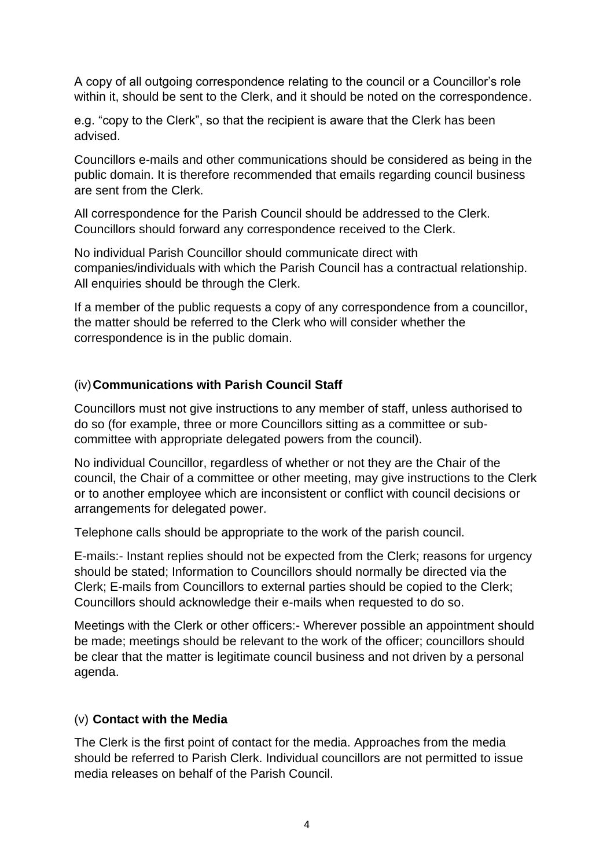A copy of all outgoing correspondence relating to the council or a Councillor's role within it, should be sent to the Clerk, and it should be noted on the correspondence.

e.g. "copy to the Clerk", so that the recipient is aware that the Clerk has been advised.

Councillors e-mails and other communications should be considered as being in the public domain. It is therefore recommended that emails regarding council business are sent from the Clerk.

All correspondence for the Parish Council should be addressed to the Clerk. Councillors should forward any correspondence received to the Clerk.

No individual Parish Councillor should communicate direct with companies/individuals with which the Parish Council has a contractual relationship. All enquiries should be through the Clerk.

If a member of the public requests a copy of any correspondence from a councillor, the matter should be referred to the Clerk who will consider whether the correspondence is in the public domain.

#### (iv)**Communications with Parish Council Staff**

Councillors must not give instructions to any member of staff, unless authorised to do so (for example, three or more Councillors sitting as a committee or subcommittee with appropriate delegated powers from the council).

No individual Councillor, regardless of whether or not they are the Chair of the council, the Chair of a committee or other meeting, may give instructions to the Clerk or to another employee which are inconsistent or conflict with council decisions or arrangements for delegated power.

Telephone calls should be appropriate to the work of the parish council.

E-mails:- Instant replies should not be expected from the Clerk; reasons for urgency should be stated; Information to Councillors should normally be directed via the Clerk; E-mails from Councillors to external parties should be copied to the Clerk; Councillors should acknowledge their e-mails when requested to do so.

Meetings with the Clerk or other officers:- Wherever possible an appointment should be made; meetings should be relevant to the work of the officer; councillors should be clear that the matter is legitimate council business and not driven by a personal agenda.

#### (v) **Contact with the Media**

The Clerk is the first point of contact for the media. Approaches from the media should be referred to Parish Clerk. Individual councillors are not permitted to issue media releases on behalf of the Parish Council.